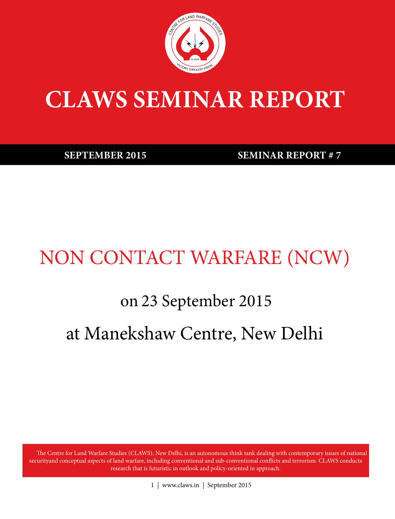

# **CLAWS SEMINAR REPORT**

**SEPTEMBER 2015 SEMINAR REPORT # 7** 

## NON CONTACT WARFARE (NCW)

# on 23 September 2015 at Manekshaw Centre, New Delhi

The Centre for Land Warfare Studies (CLAWS), New Delhi, is an autonomous think tank dealing with contemporary issues of national securityand conceptual aspects of land warfare, including conventional and sub-conventional conflicts and terrorism. CLAWS conducts research that is futuristic in outlook and policy-oriented in approach.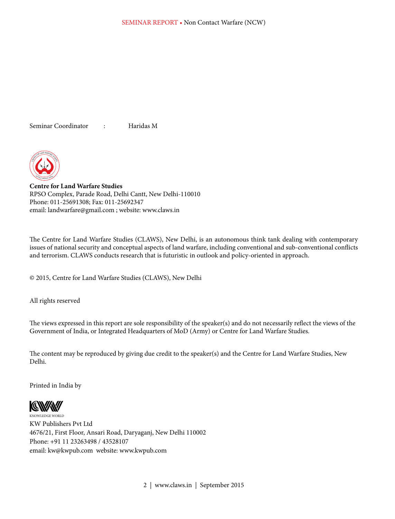Seminar Coordinator : Haridas M



**Centre for Land Warfare Studies** RPSO Complex, Parade Road, Delhi Cantt, New Delhi-110010 Phone: 011-25691308; Fax: 011-25692347 email: landwarfare@gmail.com ; website: www.claws.in

The Centre for Land Warfare Studies (CLAWS), New Delhi, is an autonomous think tank dealing with contemporary issues of national security and conceptual aspects of land warfare, including conventional and sub-conventional conflicts and terrorism. CLAWS conducts research that is futuristic in outlook and policy-oriented in approach.

© 2015, Centre for Land Warfare Studies (CLAWS), New Delhi

All rights reserved

The views expressed in this report are sole responsibility of the speaker(s) and do not necessarily reflect the views of the Government of India, or Integrated Headquarters of MoD (Army) or Centre for Land Warfare Studies.

The content may be reproduced by giving due credit to the speaker(s) and the Centre for Land Warfare Studies, New Delhi.

Printed in India by



KNOWLEDGE WORLD KW Publishers Pvt Ltd 4676/21, First Floor, Ansari Road, Daryaganj, New Delhi 110002 Phone: +91 11 23263498 / 43528107 email: kw@kwpub.com website: www.kwpub.com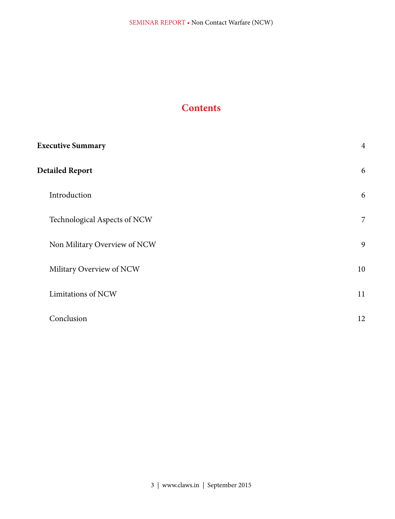#### **Contents**

| <b>Executive Summary</b>     | $\overline{4}$ |
|------------------------------|----------------|
| <b>Detailed Report</b>       | 6              |
| Introduction                 | 6              |
| Technological Aspects of NCW | $\overline{7}$ |
| Non Military Overview of NCW | 9              |
| Military Overview of NCW     | 10             |
| Limitations of NCW           | 11             |
| Conclusion                   | 12             |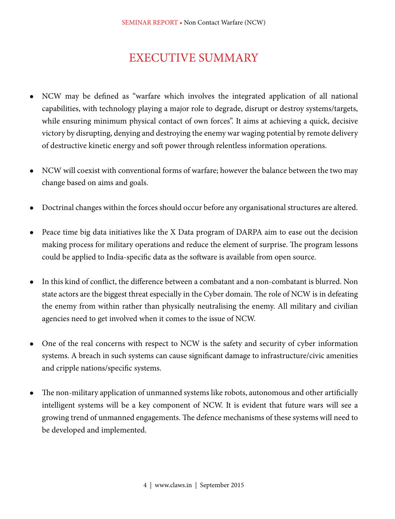### EXECUTIVE SUMMARY

- <sup>l</sup> NCW may be defined as "warfare which involves the integrated application of all national capabilities, with technology playing a major role to degrade, disrupt or destroy systems/targets, while ensuring minimum physical contact of own forces". It aims at achieving a quick, decisive victory by disrupting, denying and destroying the enemy war waging potential by remote delivery of destructive kinetic energy and soft power through relentless information operations.
- NCW will coexist with conventional forms of warfare; however the balance between the two may change based on aims and goals.
- <sup>l</sup> Doctrinal changes within the forces should occur before any organisational structures are altered.
- Peace time big data initiatives like the X Data program of DARPA aim to ease out the decision making process for military operations and reduce the element of surprise. The program lessons could be applied to India-specific data as the software is available from open source.
- <sup>l</sup> In this kind of conflict, the difference between a combatant and a non-combatant is blurred. Non state actors are the biggest threat especially in the Cyber domain. The role of NCW is in defeating the enemy from within rather than physically neutralising the enemy. All military and civilian agencies need to get involved when it comes to the issue of NCW.
- One of the real concerns with respect to NCW is the safety and security of cyber information systems. A breach in such systems can cause significant damage to infrastructure/civic amenities and cripple nations/specific systems.
- The non-military application of unmanned systems like robots, autonomous and other artificially intelligent systems will be a key component of NCW. It is evident that future wars will see a growing trend of unmanned engagements. The defence mechanisms of these systems will need to be developed and implemented.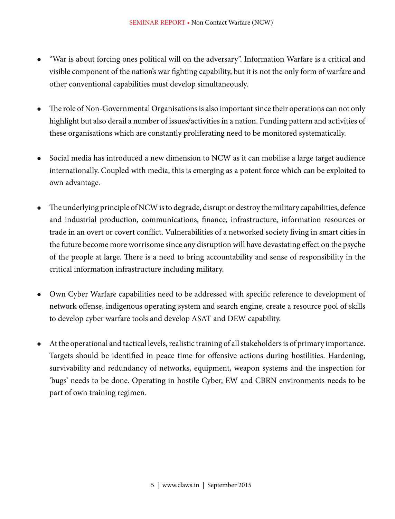- <sup>l</sup> "War is about forcing ones political will on the adversary". Information Warfare is a critical and visible component of the nation's war fighting capability, but it is not the only form of warfare and other conventional capabilities must develop simultaneously.
- <sup>l</sup> The role of Non-Governmental Organisations is also important since their operations can not only highlight but also derail a number of issues/activities in a nation. Funding pattern and activities of these organisations which are constantly proliferating need to be monitored systematically.
- Social media has introduced a new dimension to NCW as it can mobilise a large target audience internationally. Coupled with media, this is emerging as a potent force which can be exploited to own advantage.
- <sup>l</sup> The underlying principle of NCW is to degrade, disrupt or destroy the military capabilities, defence and industrial production, communications, finance, infrastructure, information resources or trade in an overt or covert conflict. Vulnerabilities of a networked society living in smart cities in the future become more worrisome since any disruption will have devastating effect on the psyche of the people at large. There is a need to bring accountability and sense of responsibility in the critical information infrastructure including military.
- <sup>l</sup> Own Cyber Warfare capabilities need to be addressed with specific reference to development of network offense, indigenous operating system and search engine, create a resource pool of skills to develop cyber warfare tools and develop ASAT and DEW capability.
- <sup>l</sup> At the operational and tactical levels, realistic training of all stakeholders is of primary importance. Targets should be identified in peace time for offensive actions during hostilities. Hardening, survivability and redundancy of networks, equipment, weapon systems and the inspection for 'bugs' needs to be done. Operating in hostile Cyber, EW and CBRN environments needs to be part of own training regimen.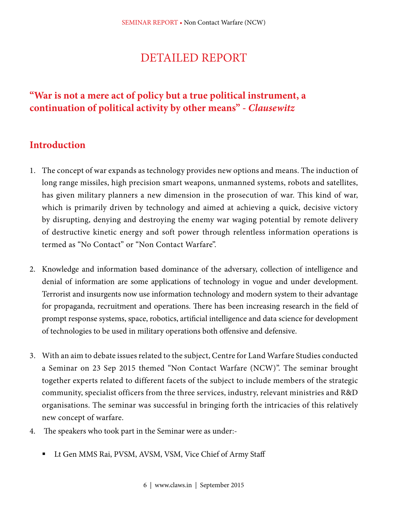### DETAILED REPORT

#### **"War is not a mere act of policy but a true political instrument, a continuation of political activity by other means" -** *Clausewitz*

#### **Introduction**

- 1. The concept of war expands as technology provides new options and means. The induction of long range missiles, high precision smart weapons, unmanned systems, robots and satellites, has given military planners a new dimension in the prosecution of war. This kind of war, which is primarily driven by technology and aimed at achieving a quick, decisive victory by disrupting, denying and destroying the enemy war waging potential by remote delivery of destructive kinetic energy and soft power through relentless information operations is termed as "No Contact" or "Non Contact Warfare".
- 2. Knowledge and information based dominance of the adversary, collection of intelligence and denial of information are some applications of technology in vogue and under development. Terrorist and insurgents now use information technology and modern system to their advantage for propaganda, recruitment and operations. There has been increasing research in the field of prompt response systems, space, robotics, artificial intelligence and data science for development of technologies to be used in military operations both offensive and defensive.
- 3. With an aim to debate issues related to the subject, Centre for Land Warfare Studies conducted a Seminar on 23 Sep 2015 themed "Non Contact Warfare (NCW)". The seminar brought together experts related to different facets of the subject to include members of the strategic community, specialist officers from the three services, industry, relevant ministries and R&D organisations. The seminar was successful in bringing forth the intricacies of this relatively new concept of warfare.
- 4. The speakers who took part in the Seminar were as under:-
	- Lt Gen MMS Rai, PVSM, AVSM, VSM, Vice Chief of Army Staff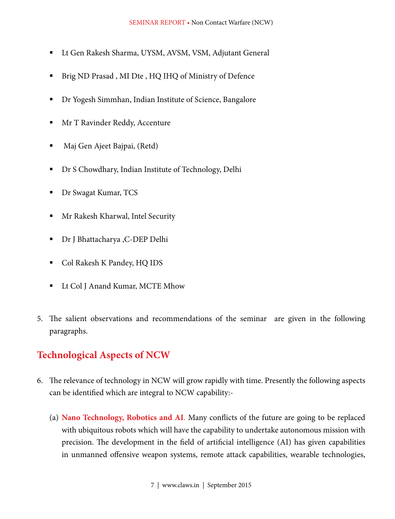- Lt Gen Rakesh Sharma, UYSM, AVSM, VSM, Adjutant General
- Brig ND Prasad , MI Dte , HQ IHQ of Ministry of Defence
- Dr Yogesh Simmhan, Indian Institute of Science, Bangalore
- Mr T Ravinder Reddy, Accenture
- Maj Gen Ajeet Bajpai, (Retd)
- Dr S Chowdhary, Indian Institute of Technology, Delhi
- Dr Swagat Kumar, TCS
- **Mr Rakesh Kharwal, Intel Security**
- Dr J Bhattacharya ,C-DEP Delhi
- **Col Rakesh K Pandey, HQ IDS**
- Lt Col J Anand Kumar, MCTE Mhow
- 5. The salient observations and recommendations of the seminar are given in the following paragraphs.

#### **Technological Aspects of NCW**

- 6. The relevance of technology in NCW will grow rapidly with time. Presently the following aspects can be identified which are integral to NCW capability:-
	- (a) **Nano Technology, Robotics and AI**. Many conflicts of the future are going to be replaced with ubiquitous robots which will have the capability to undertake autonomous mission with precision. The development in the field of artificial intelligence (AI) has given capabilities in unmanned offensive weapon systems, remote attack capabilities, wearable technologies,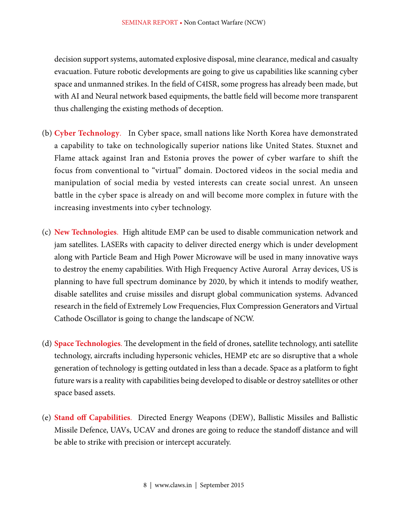decision support systems, automated explosive disposal, mine clearance, medical and casualty evacuation. Future robotic developments are going to give us capabilities like scanning cyber space and unmanned strikes. In the field of C4ISR, some progress has already been made, but with AI and Neural network based equipments, the battle field will become more transparent thus challenging the existing methods of deception.

- (b) **Cyber Technology**. In Cyber space, small nations like North Korea have demonstrated a capability to take on technologically superior nations like United States. Stuxnet and Flame attack against Iran and Estonia proves the power of cyber warfare to shift the focus from conventional to "virtual" domain. Doctored videos in the social media and manipulation of social media by vested interests can create social unrest. An unseen battle in the cyber space is already on and will become more complex in future with the increasing investments into cyber technology.
- (c) **New Technologies**. High altitude EMP can be used to disable communication network and jam satellites. LASERs with capacity to deliver directed energy which is under development along with Particle Beam and High Power Microwave will be used in many innovative ways to destroy the enemy capabilities. With High Frequency Active Auroral Array devices, US is planning to have full spectrum dominance by 2020, by which it intends to modify weather, disable satellites and cruise missiles and disrupt global communication systems. Advanced research in the field of Extremely Low Frequencies, Flux Compression Generators and Virtual Cathode Oscillator is going to change the landscape of NCW.
- (d) **Space Technologies**. The development in the field of drones, satellite technology, anti satellite technology, aircrafts including hypersonic vehicles, HEMP etc are so disruptive that a whole generation of technology is getting outdated in less than a decade. Space as a platform to fight future wars is a reality with capabilities being developed to disable or destroy satellites or other space based assets.
- (e) **Stand off Capabilities**. Directed Energy Weapons (DEW), Ballistic Missiles and Ballistic Missile Defence, UAVs, UCAV and drones are going to reduce the standoff distance and will be able to strike with precision or intercept accurately.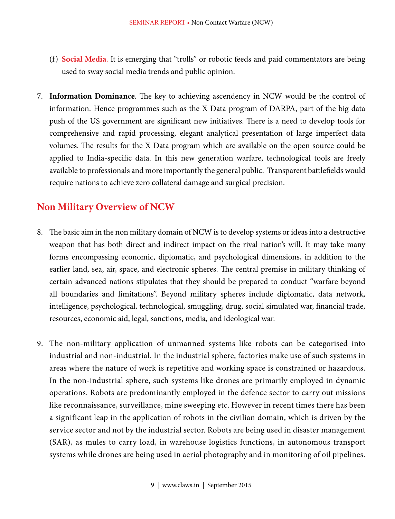- (f) **Social Media**. It is emerging that "trolls" or robotic feeds and paid commentators are being used to sway social media trends and public opinion.
- 7. **Information Dominance**. The key to achieving ascendency in NCW would be the control of information. Hence programmes such as the X Data program of DARPA, part of the big data push of the US government are significant new initiatives. There is a need to develop tools for comprehensive and rapid processing, elegant analytical presentation of large imperfect data volumes. The results for the X Data program which are available on the open source could be applied to India-specific data. In this new generation warfare, technological tools are freely available to professionals and more importantly the general public. Transparent battlefields would require nations to achieve zero collateral damage and surgical precision.

#### **Non Military Overview of NCW**

- 8. The basic aim in the non military domain of NCW is to develop systems or ideas into a destructive weapon that has both direct and indirect impact on the rival nation's will. It may take many forms encompassing economic, diplomatic, and psychological dimensions, in addition to the earlier land, sea, air, space, and electronic spheres. The central premise in military thinking of certain advanced nations stipulates that they should be prepared to conduct "warfare beyond all boundaries and limitations". Beyond military spheres include diplomatic, data network, intelligence, psychological, technological, smuggling, drug, social simulated war, financial trade, resources, economic aid, legal, sanctions, media, and ideological war.
- 9. The non-military application of unmanned systems like robots can be categorised into industrial and non-industrial. In the industrial sphere, factories make use of such systems in areas where the nature of work is repetitive and working space is constrained or hazardous. In the non-industrial sphere, such systems like drones are primarily employed in dynamic operations. Robots are predominantly employed in the defence sector to carry out missions like reconnaissance, surveillance, mine sweeping etc. However in recent times there has been a significant leap in the application of robots in the civilian domain, which is driven by the service sector and not by the industrial sector. Robots are being used in disaster management (SAR), as mules to carry load, in warehouse logistics functions, in autonomous transport systems while drones are being used in aerial photography and in monitoring of oil pipelines.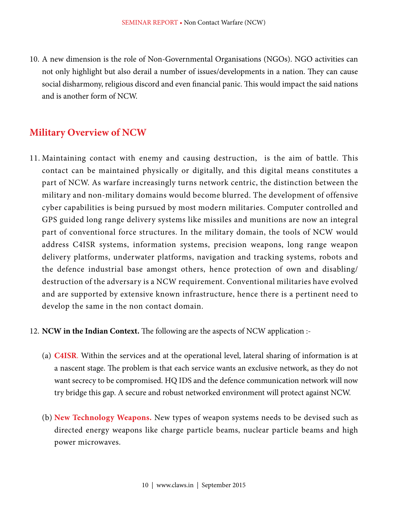10. A new dimension is the role of Non-Governmental Organisations (NGOs). NGO activities can not only highlight but also derail a number of issues/developments in a nation. They can cause social disharmony, religious discord and even financial panic. This would impact the said nations and is another form of NCW.

#### **Military Overview of NCW**

11. Maintaining contact with enemy and causing destruction, is the aim of battle. This contact can be maintained physically or digitally, and this digital means constitutes a part of NCW. As warfare increasingly turns network centric, the distinction between the military and non-military domains would become blurred. The development of offensive cyber capabilities is being pursued by most modern militaries. Computer controlled and GPS guided long range delivery systems like missiles and munitions are now an integral part of conventional force structures. In the military domain, the tools of NCW would address C4ISR systems, information systems, precision weapons, long range weapon delivery platforms, underwater platforms, navigation and tracking systems, robots and the defence industrial base amongst others, hence protection of own and disabling/ destruction of the adversary is a NCW requirement. Conventional militaries have evolved and are supported by extensive known infrastructure, hence there is a pertinent need to develop the same in the non contact domain.

#### 12. **NCW in the Indian Context.** The following are the aspects of NCW application :-

- (a) **C4ISR**. Within the services and at the operational level, lateral sharing of information is at a nascent stage. The problem is that each service wants an exclusive network, as they do not want secrecy to be compromised. HQ IDS and the defence communication network will now try bridge this gap. A secure and robust networked environment will protect against NCW.
- (b) **New Technology Weapons.** New types of weapon systems needs to be devised such as directed energy weapons like charge particle beams, nuclear particle beams and high power microwaves.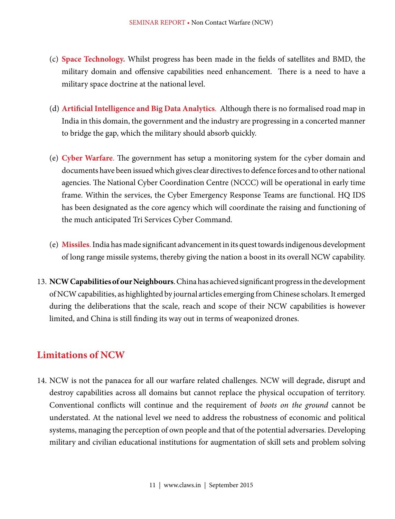- (c) **Space Technology.** Whilst progress has been made in the fields of satellites and BMD, the military domain and offensive capabilities need enhancement. There is a need to have a military space doctrine at the national level.
- (d) **Artificial Intelligence and Big Data Analytics**. Although there is no formalised road map in India in this domain, the government and the industry are progressing in a concerted manner to bridge the gap, which the military should absorb quickly.
- (e) **Cyber Warfare**. The government has setup a monitoring system for the cyber domain and documents have been issued which gives clear directives to defence forces and to other national agencies. The National Cyber Coordination Centre (NCCC) will be operational in early time frame. Within the services, the Cyber Emergency Response Teams are functional. HQ IDS has been designated as the core agency which will coordinate the raising and functioning of the much anticipated Tri Services Cyber Command.
- (e) **Missiles**. India has made significant advancement in its quest towards indigenous development of long range missile systems, thereby giving the nation a boost in its overall NCW capability.
- 13. **NCW Capabilities of our Neighbours**. China has achieved significant progress in the development of NCW capabilities, as highlighted by journal articles emerging from Chinese scholars. It emerged during the deliberations that the scale, reach and scope of their NCW capabilities is however limited, and China is still finding its way out in terms of weaponized drones.

#### **Limitations of NCW**

14. NCW is not the panacea for all our warfare related challenges. NCW will degrade, disrupt and destroy capabilities across all domains but cannot replace the physical occupation of territory. Conventional conflicts will continue and the requirement of *boots on the ground* cannot be understated. At the national level we need to address the robustness of economic and political systems, managing the perception of own people and that of the potential adversaries. Developing military and civilian educational institutions for augmentation of skill sets and problem solving